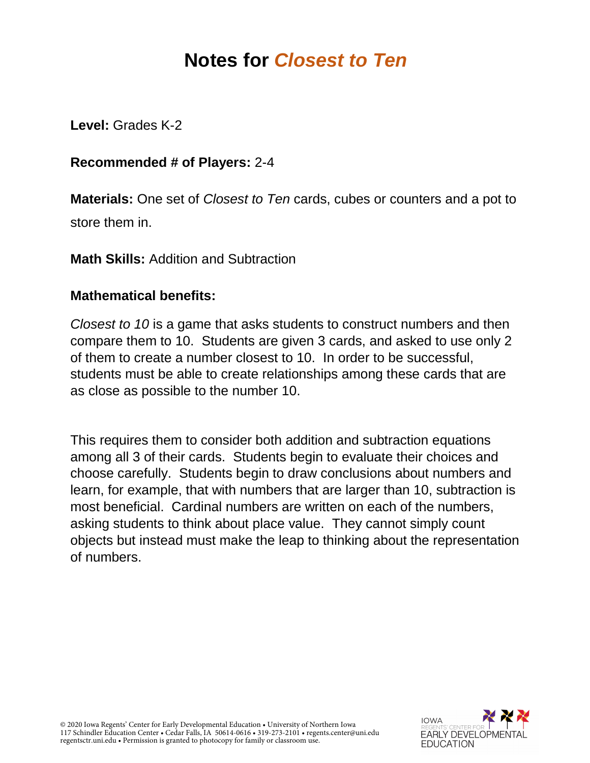## **Notes for** *Closest to Ten*

**Level:** Grades K-2

## **Recommended # of Players:** 2-4

**Materials:** One set of *Closest to Ten* cards, cubes or counters and a pot to store them in.

**Math Skills:** Addition and Subtraction

## **Mathematical benefits:**

*Closest to 10* is a game that asks students to construct numbers and then compare them to 10. Students are given 3 cards, and asked to use only 2 of them to create a number closest to 10. In order to be successful, students must be able to create relationships among these cards that are as close as possible to the number 10.

This requires them to consider both addition and subtraction equations among all 3 of their cards. Students begin to evaluate their choices and choose carefully. Students begin to draw conclusions about numbers and learn, for example, that with numbers that are larger than 10, subtraction is most beneficial. Cardinal numbers are written on each of the numbers, asking students to think about place value. They cannot simply count objects but instead must make the leap to thinking about the representation of numbers.



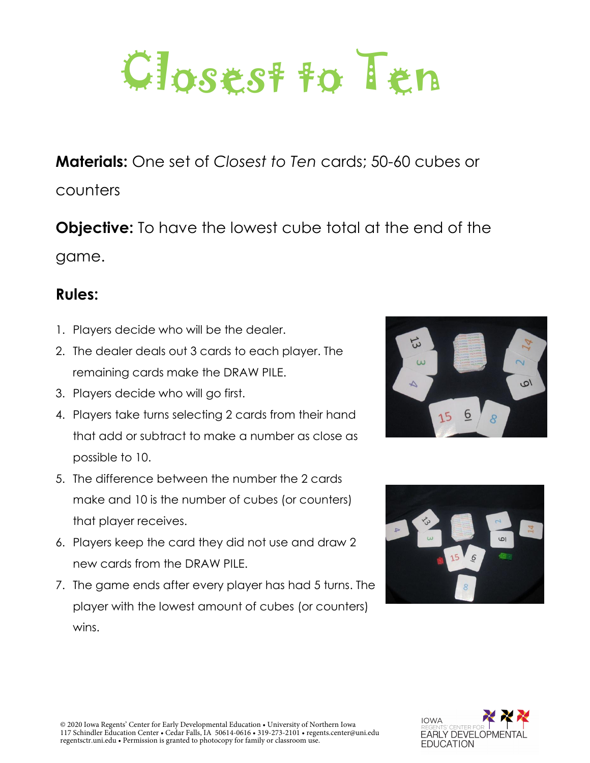

**Materials:** One set of *Closest to Ten* cards; 50-60 cubes or

counters

**Objective:** To have the lowest cube total at the end of the game.

## **Rules:**

- 1. Players decide who will be the dealer.
- 2. The dealer deals out 3 cards to each player. The remaining cards make the DRAW PILE.
- 3. Players decide who will go first.
- 4. Players take turns selecting 2 cards from their hand that add or subtract to make a number as close as possible to 10.
- 5. The difference between the number the 2 cards make and 10 is the number of cubes (or counters) that player receives.
- 6. Players keep the card they did not use and draw 2 new cards from the DRAW PILE.
- 7. The game ends after every player has had 5 turns. The player with the lowest amount of cubes (or counters) wins.





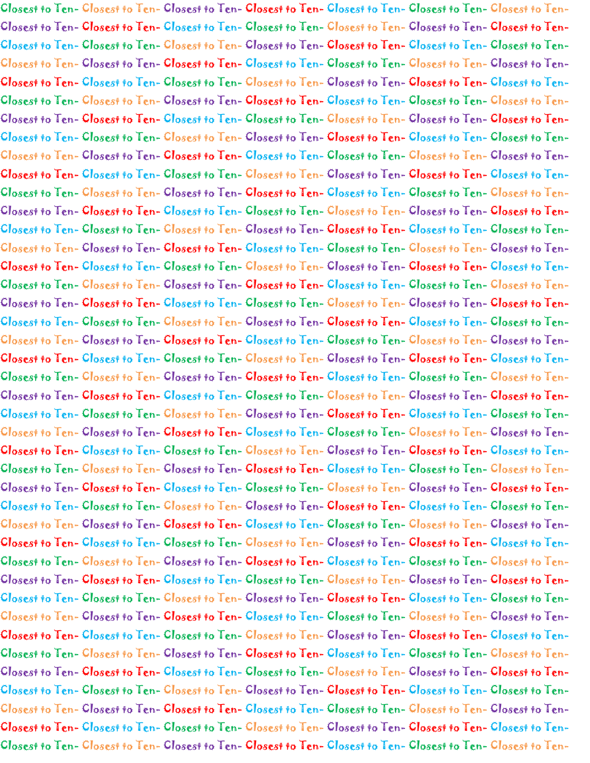Closest to Ten- Closest to Ten- Closest to Ten- Closest to Ten- Closest to Ten- Closest to Ten- Closest to Ten-Closest to Ten- Closest to Ten- Closest to Ten- Closest to Ten- Closest to Ten- Closest to Ten- Closest to Ten-Closest to Ten- Closest to Ten- Closest to Ten- Closest to Ten- Closest to Ten- Closest to Ten- Closest to Ten-Closest to Ten- Closest to Ten- Closest to Ten- Closest to Ten- Closest to Ten- Closest to Ten- Closest to Ten-Closest to Ten- Closest to Ten- Closest to Ten- Closest to Ten- Closest to Ten- Closest to Ten- Closest to Ten-Closest to Ten- Closest to Ten- Closest to Ten- Closest to Ten- Closest to Ten- Closest to Ten- Closest to Ten-Closest to Ten- Closest to Ten- Closest to Ten- Closest to Ten- Closest to Ten- Closest to Ten- Closest to Ten-Closest to Ten- Closest to Ten- Closest to Ten- Closest to Ten- Closest to Ten- Closest to Ten- Closest to Ten-Closest to Ten- Closest to Ten- Closest to Ten- Closest to Ten- Closest to Ten- Closest to Ten- Closest to Ten-Closest to Ten- Closest to Ten- Closest to Ten- Closest to Ten- Closest to Ten- Closest to Ten- Closest to Ten-Closest to Ten- Closest to Ten- Closest to Ten- Closest to Ten- Closest to Ten- Closest to Ten- Closest to Ten-Closest to Ten- Closest to Ten- Closest to Ten- Closest to Ten- Closest to Ten- Closest to Ten- Closest to Ten-Closest to Ten- Closest to Ten- Closest to Ten- Closest to Ten- Closest to Ten- Closest to Ten- Closest to Ten-Closest to Ten- Closest to Ten- Closest to Ten- Closest to Ten- Closest to Ten- Closest to Ten- Closest to Ten-Closest to Ten- Closest to Ten- Closest to Ten- Closest to Ten- Closest to Ten- Closest to Ten- Closest to Ten-Closest to Ten- Closest to Ten- Closest to Ten- Closest to Ten- Closest to Ten- Closest to Ten- Closest to Ten-Closest to Ten- Closest to Ten- Closest to Ten- Closest to Ten- Closest to Ten- Closest to Ten- Closest to Ten-Closest to Ten- Closest to Ten- Closest to Ten- Closest to Ten- Closest to Ten- Closest to Ten- Closest to Ten-Closest to Ten- Closest to Ten- Closest to Ten- Closest to Ten- Closest to Ten- Closest to Ten- Closest to Ten-Closest to Ten- Closest to Ten- Closest to Ten- Closest to Ten- Closest to Ten- Closest to Ten- Closest to Ten-Closest to Ten- Closest to Ten- Closest to Ten- Closest to Ten- Closest to Ten- Closest to Ten- Closest to Ten-Closest to Ten- Closest to Ten- Closest to Ten- Closest to Ten- Closest to Ten- Closest to Ten- Closest to Ten-Closest to Ten- Closest to Ten- Closest to Ten- Closest to Ten- Closest to Ten- Closest to Ten- Closest to Ten-Closest to Ten- Closest to Ten- Closest to Ten- Closest to Ten- Closest to Ten- Closest to Ten- Closest to Ten-Closest to Ten- Closest to Ten- Closest to Ten- Closest to Ten- Closest to Ten- Closest to Ten- Closest to Ten-Closest to Ten- Closest to Ten- Closest to Ten- Closest to Ten- Closest to Ten- Closest to Ten- Closest to Ten-Closest to Ten- Closest to Ten- Closest to Ten- Closest to Ten- Closest to Ten- Closest to Ten- Closest to Ten-Closest to Ten- Closest to Ten- Closest to Ten- Closest to Ten- Closest to Ten- Closest to Ten- Closest to Ten-Closest to Ten- Closest to Ten- Closest to Ten- Closest to Ten- Closest to Ten- Closest to Ten- Closest to Ten-Closest to Ten- Closest to Ten- Closest to Ten- Closest to Ten- Closest to Ten- Closest to Ten- Closest to Ten-Closest to Ten- Closest to Ten- Closest to Ten- Closest to Ten- Closest to Ten- Closest to Ten- Closest to Ten-Closest to Ten- Closest to Ten- Closest to Ten- Closest to Ten- Closest to Ten- Closest to Ten- Closest to Ten-Closest to Ten- Closest to Ten- Closest to Ten- Closest to Ten- Closest to Ten- Closest to Ten- Closest to Ten-Closest to Ten- Closest to Ten- Closest to Ten- Closest to Ten- Closest to Ten- Closest to Ten- Closest to Ten-Closest to Ten- Closest to Ten- Closest to Ten- Closest to Ten- Closest to Ten- Closest to Ten- Closest to Ten-Closest to Ten- Closest to Ten- Closest to Ten- Closest to Ten- Closest to Ten- Closest to Ten- Closest to Ten-Closest to Ten- Closest to Ten- Closest to Ten- Closest to Ten- Closest to Ten- Closest to Ten- Closest to Ten-Closest to Ten- Closest to Ten- Closest to Ten- Closest to Ten- Closest to Ten- Closest to Ten- Closest to Ten-Closest to Ten- Closest to Ten- Closest to Ten- Closest to Ten- Closest to Ten- Closest to Ten- Closest to Ten-Closest to Ten- Closest to Ten- Closest to Ten- Closest to Ten- Closest to Ten- Closest to Ten- Closest to Ten-Closest to Ten- Closest to Ten- Closest to Ten- Closest to Ten- Closest to Ten- Closest to Ten- Closest to Ten-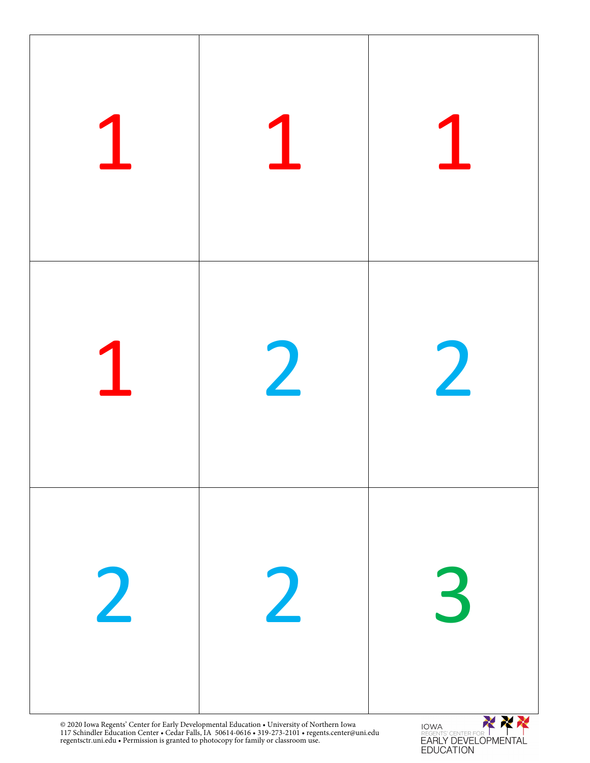

117 Schindler Education Center • Cedar Falls, IA 50614-0616 • 319-273-2101 • regents.center@uni.edu regentsctr.uni.edu • Permission is granted to photocopy for family or classroom use.

REGENTS CENTER FOR | ITAL<br>EARLY DEVELOPMENTAL<br>EDUCATION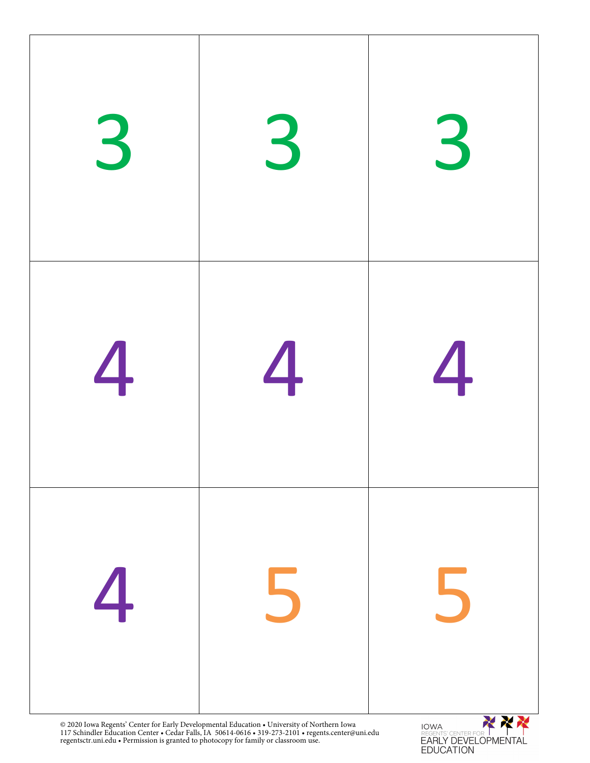

REGENTS CENTER FOR INTENTAL<br>EARLY DEVELOPMENTAL<br>EDUCATION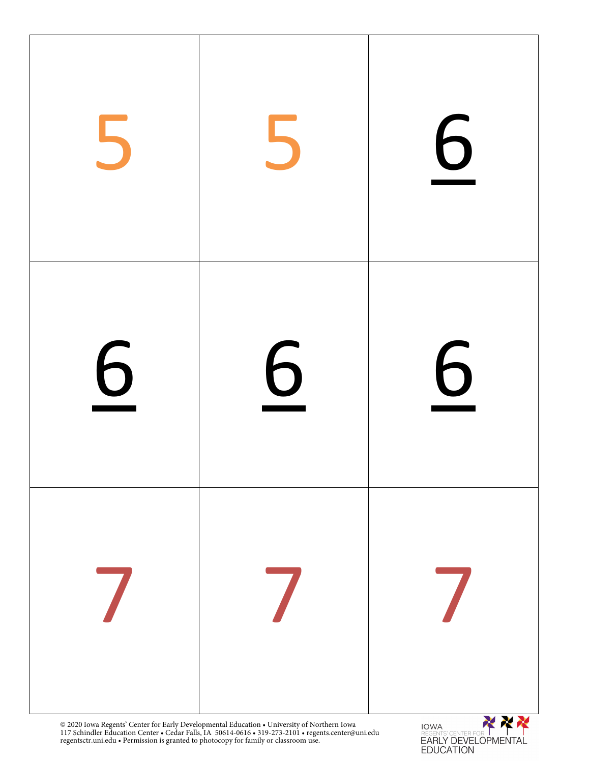

REGENTS CENTER FOR INTRINITAL<br>EARLY DEVELOPMENTAL<br>EDUCATION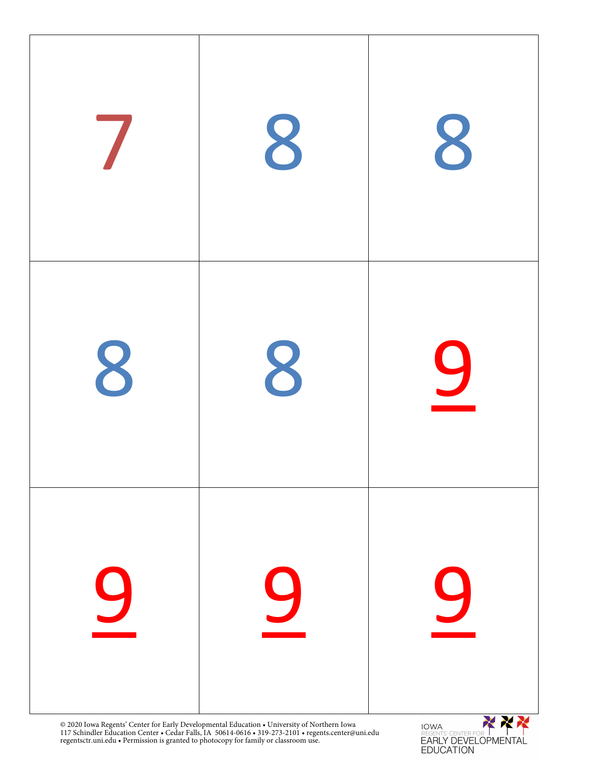

REGENTS CENTER FOR INTENTAL<br>EARLY DEVELOPMENTAL<br>EDUCATION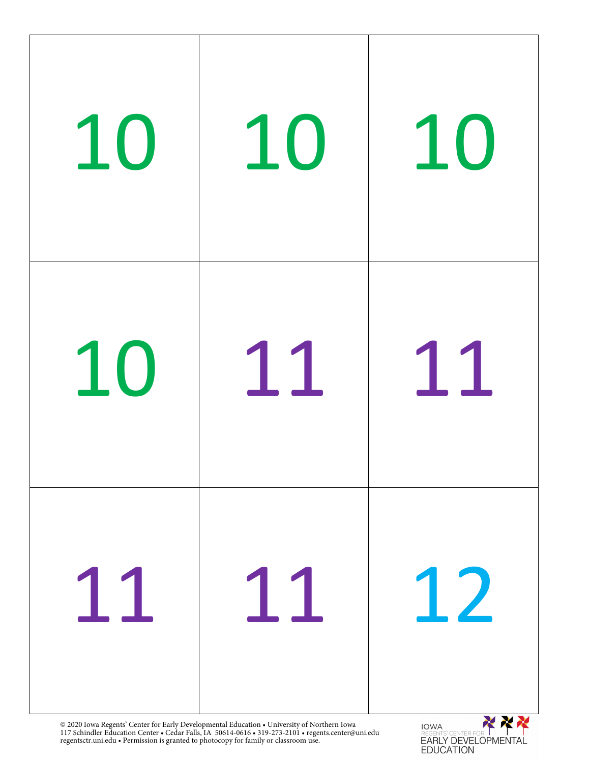

117 Schindler Education Center • Cedar Falls, IA 50614-0616 • 319-273-2101 • regents.center@uni.edu regentsctr.uni.edu • Permission is granted to photocopy for family or classroom use.

**EARLY DEVELOPMENTAL EDUCATION**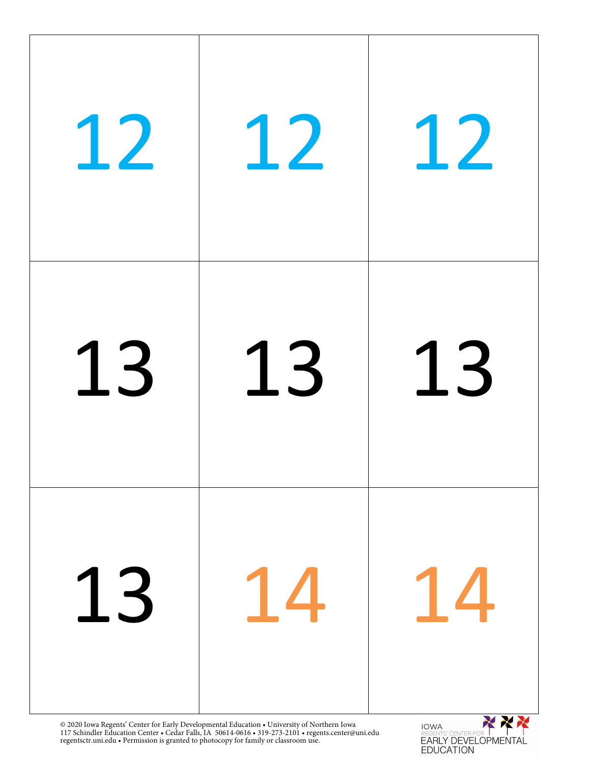

117 Schindler Education Center • Cedar Falls, IA 50614-0616 • 319-273-2101 • regents.center@uni.edu regentsctr.uni.edu • Permission is granted to photocopy for family or classroom use.

EARLY DEVELOPMENTAL